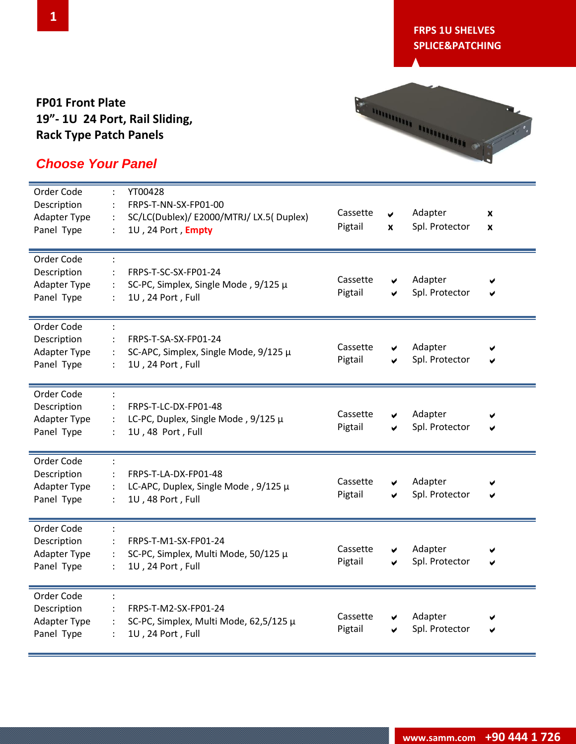#### **FP01 Front Plate 19"- 1U 24 Port, Rail Sliding, Rack Type Patch Panels**



| Order Code<br>Description<br>Adapter Type<br>Panel Type        | $\ddot{\cdot}$ | YT00428<br>FRPS-T-NN-SX-FP01-00<br>SC/LC(Dublex)/ E2000/MTRJ/ LX.5( Duplex)<br>1U, 24 Port, Empty | Cassette<br>Pigtail | ✔<br>$\boldsymbol{x}$ | Adapter<br>Spl. Protector | X<br>X |
|----------------------------------------------------------------|----------------|---------------------------------------------------------------------------------------------------|---------------------|-----------------------|---------------------------|--------|
| Order Code<br>Description<br><b>Adapter Type</b><br>Panel Type |                | FRPS-T-SC-SX-FP01-24<br>SC-PC, Simplex, Single Mode, 9/125 µ<br>1U, 24 Port, Full                 | Cassette<br>Pigtail | ✔<br>✔                | Adapter<br>Spl. Protector |        |
| Order Code<br>Description<br><b>Adapter Type</b><br>Panel Type |                | FRPS-T-SA-SX-FP01-24<br>SC-APC, Simplex, Single Mode, 9/125 µ<br>1U, 24 Port, Full                | Cassette<br>Pigtail | ✔<br>✔                | Adapter<br>Spl. Protector |        |
| Order Code<br>Description<br><b>Adapter Type</b><br>Panel Type |                | FRPS-T-LC-DX-FP01-48<br>LC-PC, Duplex, Single Mode, 9/125 µ<br>1U, 48 Port, Full                  | Cassette<br>Pigtail | ✔<br>✔                | Adapter<br>Spl. Protector | V      |
| Order Code<br>Description<br><b>Adapter Type</b><br>Panel Type |                | FRPS-T-LA-DX-FP01-48<br>LC-APC, Duplex, Single Mode, 9/125 µ<br>1U, 48 Port, Full                 | Cassette<br>Pigtail | ✔<br>V                | Adapter<br>Spl. Protector |        |
| Order Code<br>Description<br><b>Adapter Type</b><br>Panel Type |                | FRPS-T-M1-SX-FP01-24<br>SC-PC, Simplex, Multi Mode, 50/125 μ<br>1U, 24 Port, Full                 | Cassette<br>Pigtail | V<br>✔                | Adapter<br>Spl. Protector | ✔      |
| Order Code<br>Description<br><b>Adapter Type</b><br>Panel Type |                | FRPS-T-M2-SX-FP01-24<br>SC-PC, Simplex, Multi Mode, 62,5/125 µ<br>1U, 24 Port, Full               | Cassette<br>Pigtail | ✔<br>✔                | Adapter<br>Spl. Protector | V      |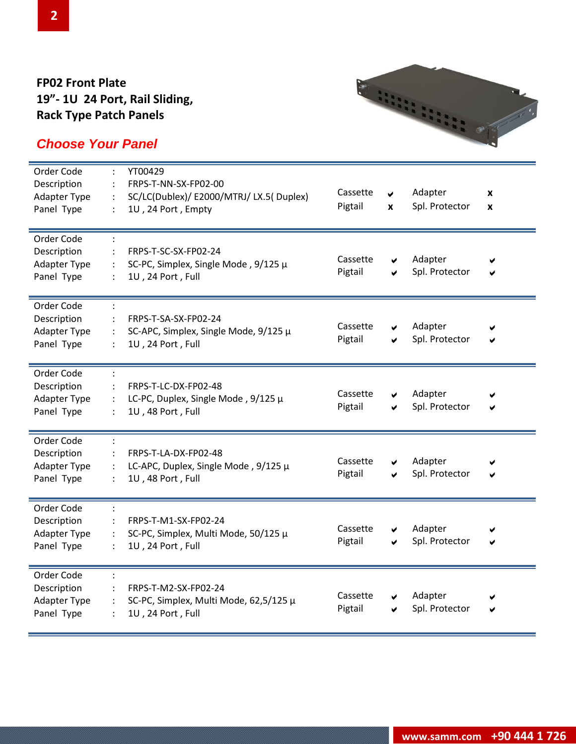#### **FP02 Front Plate 19"- 1U 24 Port, Rail Sliding, Rack Type Patch Panels**



| Order Code<br>Description<br><b>Adapter Type</b><br>Panel Type | YT00429<br>FRPS-T-NN-SX-FP02-00<br>SC/LC(Dublex)/E2000/MTRJ/LX.5(Duplex)<br>$\ddot{\phantom{a}}$<br>1U, 24 Port, Empty<br>÷ | Cassette<br>Pigtail | V<br>X | Adapter<br>Spl. Protector | X<br>X |
|----------------------------------------------------------------|-----------------------------------------------------------------------------------------------------------------------------|---------------------|--------|---------------------------|--------|
| Order Code<br>Description<br><b>Adapter Type</b><br>Panel Type | FRPS-T-SC-SX-FP02-24<br>SC-PC, Simplex, Single Mode, 9/125 µ<br>1U, 24 Port, Full                                           | Cassette<br>Pigtail | ✔<br>✔ | Adapter<br>Spl. Protector | ✔      |
| Order Code<br>Description<br><b>Adapter Type</b><br>Panel Type | FRPS-T-SA-SX-FP02-24<br>SC-APC, Simplex, Single Mode, 9/125 µ<br>1U, 24 Port, Full<br>$\ddot{\cdot}$                        | Cassette<br>Pigtail | ✔<br>V | Adapter<br>Spl. Protector | ✔      |
| Order Code<br>Description<br><b>Adapter Type</b><br>Panel Type | FRPS-T-LC-DX-FP02-48<br>LC-PC, Duplex, Single Mode, 9/125 µ<br>1U, 48 Port, Full<br>$\ddot{\cdot}$                          | Cassette<br>Pigtail | ✔<br>V | Adapter<br>Spl. Protector | ✔      |
| Order Code<br>Description<br><b>Adapter Type</b><br>Panel Type | FRPS-T-LA-DX-FP02-48<br>LC-APC, Duplex, Single Mode, $9/125 \mu$<br>1U, 48 Port, Full                                       | Cassette<br>Pigtail | ✔      | Adapter<br>Spl. Protector | ✔      |
| Order Code<br>Description<br>Adapter Type<br>Panel Type        | FRPS-T-M1-SX-FP02-24<br>SC-PC, Simplex, Multi Mode, 50/125 μ<br>$\ddot{\cdot}$<br>1U, 24 Port, Full                         | Cassette<br>Pigtail | V<br>✔ | Adapter<br>Spl. Protector | ✔      |
| Order Code<br>Description<br><b>Adapter Type</b><br>Panel Type | FRPS-T-M2-SX-FP02-24<br>SC-PC, Simplex, Multi Mode, 62,5/125 µ<br>1U, 24 Port, Full<br>$\ddot{\phantom{a}}$                 | Cassette<br>Pigtail | ✔      | Adapter<br>Spl. Protector |        |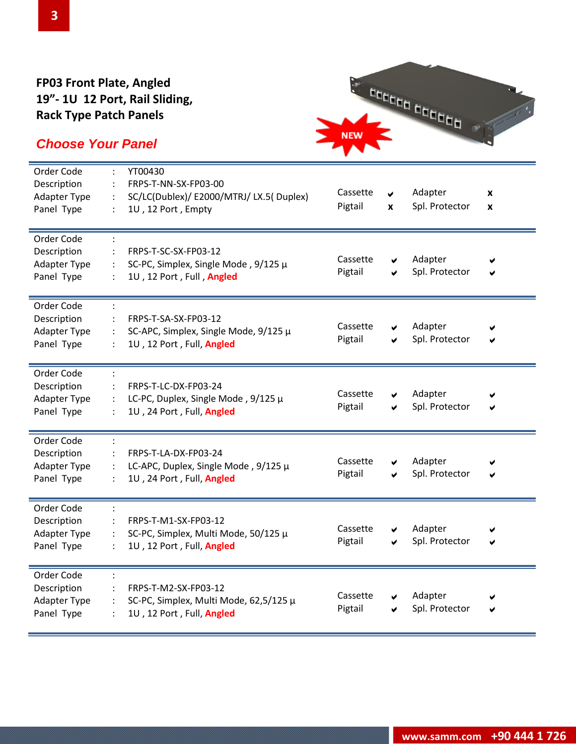#### **FP03 Front Plate, Angled 19"- 1U 12 Port, Rail Sliding, Rack Type Patch Panels**

# **NEW NEW**

| Order Code<br>Description<br>Adapter Type<br>Panel Type        | YT00430<br>FRPS-T-NN-SX-FP03-00<br>SC/LC(Dublex)/ E2000/MTRJ/ LX.5( Duplex)<br>$\ddot{\cdot}$<br>1U, 12 Port, Empty<br>$\ddot{\cdot}$ | Cassette<br>Pigtail | V<br>X | Adapter<br>Spl. Protector | X<br>X |
|----------------------------------------------------------------|---------------------------------------------------------------------------------------------------------------------------------------|---------------------|--------|---------------------------|--------|
| Order Code<br>Description<br><b>Adapter Type</b><br>Panel Type | FRPS-T-SC-SX-FP03-12<br>SC-PC, Simplex, Single Mode, 9/125 µ<br>1U, 12 Port, Full, Angled                                             | Cassette<br>Pigtail | ✔<br>✔ | Adapter<br>Spl. Protector | V<br>✔ |
| Order Code<br>Description<br>Adapter Type<br>Panel Type        | FRPS-T-SA-SX-FP03-12<br>SC-APC, Simplex, Single Mode, 9/125 µ<br>1U, 12 Port, Full, Angled                                            | Cassette<br>Pigtail | ✔<br>✔ | Adapter<br>Spl. Protector | ✔      |
| Order Code<br>Description<br>Adapter Type<br>Panel Type        | FRPS-T-LC-DX-FP03-24<br>LC-PC, Duplex, Single Mode, 9/125 µ<br>1U, 24 Port, Full, Angled                                              | Cassette<br>Pigtail | ✔<br>✔ | Adapter<br>Spl. Protector |        |
| Order Code<br>Description<br>Adapter Type<br>Panel Type        | FRPS-T-LA-DX-FP03-24<br>LC-APC, Duplex, Single Mode, 9/125 µ<br>1U, 24 Port, Full, Angled                                             | Cassette<br>Pigtail | ✔<br>✔ | Adapter<br>Spl. Protector |        |
| Order Code<br>Description<br>Adapter Type<br>Panel Type        | FRPS-T-M1-SX-FP03-12<br>SC-PC, Simplex, Multi Mode, 50/125 µ<br>1U, 12 Port, Full, Angled                                             | Cassette<br>Pigtail | V<br>✔ | Adapter<br>Spl. Protector | ✔      |
| Order Code<br>Description<br><b>Adapter Type</b><br>Panel Type | FRPS-T-M2-SX-FP03-12<br>SC-PC, Simplex, Multi Mode, 62,5/125 µ<br>1U, 12 Port, Full, Angled                                           | Cassette<br>Pigtail | ✔      | Adapter<br>Spl. Protector | V<br>✔ |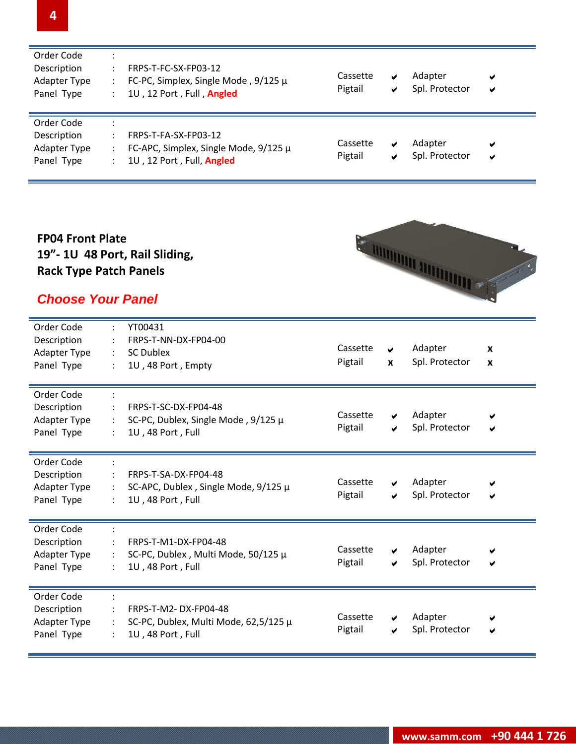| Order Code<br>Description<br>Adapter Type<br>Panel Type | FRPS-T-FC-SX-FP03-12<br>FC-PC, Simplex, Single Mode, $9/125 \mu$<br>1U, 12 Port, Full, Angled | Cassette<br>Pigtail | ✔<br>✔ | Adapter<br>Spl. Protector | ✔<br>✔ |
|---------------------------------------------------------|-----------------------------------------------------------------------------------------------|---------------------|--------|---------------------------|--------|
| Order Code<br>Description<br>Adapter Type<br>Panel Type | FRPS-T-FA-SX-FP03-12<br>FC-APC, Simplex, Single Mode, 9/125 µ<br>1U, 12 Port, Full, Angled    | Cassette<br>Pigtail | ✔<br>✔ | Adapter<br>Spl. Protector | ✔<br>✔ |

#### **FP04 Front Plate 19"- 1U 48 Port, Rail Sliding, Rack Type Patch Panels**

# *Choose Your Panel*

| Order Code<br>Description<br>Adapter Type<br>Panel Type        | YT00431<br>÷<br>FRPS-T-NN-DX-FP04-00<br><b>SC Dublex</b><br>$\ddot{\phantom{a}}$<br>1U, 48 Port, Empty<br>÷    | Cassette<br>Adapter<br>V<br>Pigtail<br>Spl. Protector<br>X                     | $\boldsymbol{x}$<br>$\boldsymbol{x}$ |
|----------------------------------------------------------------|----------------------------------------------------------------------------------------------------------------|--------------------------------------------------------------------------------|--------------------------------------|
| Order Code<br>Description<br>Adapter Type<br>Panel Type        | FRPS-T-SC-DX-FP04-48<br>SC-PC, Dublex, Single Mode, 9/125 µ<br>1U, 48 Port, Full                               | Cassette<br>Adapter<br>✔<br>Spl. Protector<br>Pigtail<br>v                     | ✔                                    |
| Order Code<br>Description<br>Adapter Type<br>Panel Type        | FRPS-T-SA-DX-FP04-48<br>SC-APC, Dublex, Single Mode, 9/125 µ<br>$\ddot{\phantom{0}}$<br>1U, 48 Port, Full<br>÷ | Cassette<br>Adapter<br>✔<br>Spl. Protector<br>Pigtail<br>✔                     | ✔                                    |
| Order Code<br>Description<br><b>Adapter Type</b><br>Panel Type | FRPS-T-M1-DX-FP04-48<br>SC-PC, Dublex, Multi Mode, 50/125 µ<br>÷<br>1U, 48 Port, Full                          | Cassette<br>Adapter<br>✔<br>Pigtail<br>Spl. Protector<br>✔                     | ✔                                    |
| Order Code<br>Description<br>Adapter Type<br>Panel Type        | FRPS-T-M2-DX-FP04-48<br>SC-PC, Dublex, Multi Mode, 62,5/125 µ<br>1U, 48 Port, Full                             | Cassette<br>Adapter<br>V<br>Spl. Protector<br>Pigtail<br>$\blacktriangleright$ | ✔                                    |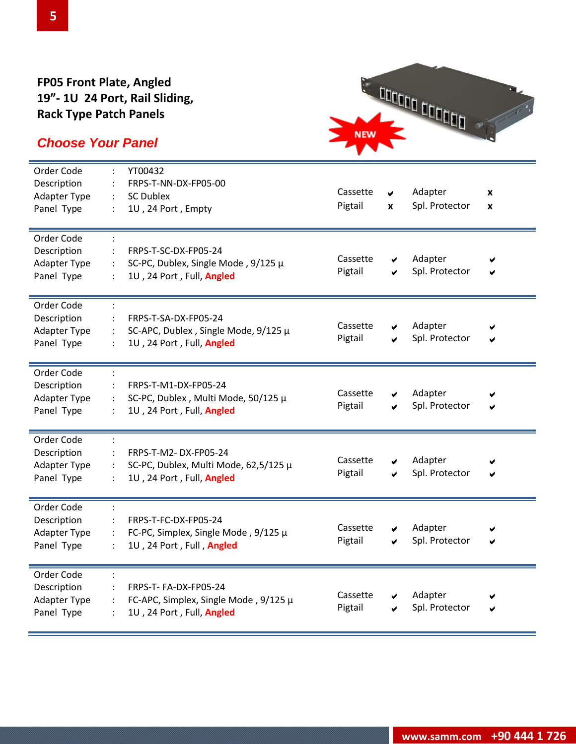#### **FP05 Front Plate, Angled 19"- 1U 24 Port, Rail Sliding, Rack Type Patch Panels**

# NEW COLORED DELLE DE NEW |

| Order Code<br>Description<br>Adapter Type<br>Panel Type        | YT00432<br>FRPS-T-NN-DX-FP05-00<br><b>SC Dublex</b><br>$\ddot{\cdot}$<br>1U, 24 Port, Empty<br>$\ddot{\cdot}$ | Cassette<br>Pigtail | V<br>X | Adapter<br>Spl. Protector | $\pmb{\mathsf{x}}$<br>X |
|----------------------------------------------------------------|---------------------------------------------------------------------------------------------------------------|---------------------|--------|---------------------------|-------------------------|
| Order Code<br>Description<br><b>Adapter Type</b><br>Panel Type | FRPS-T-SC-DX-FP05-24<br>SC-PC, Dublex, Single Mode, 9/125 µ<br>1U, 24 Port, Full, Angled                      | Cassette<br>Pigtail | ✔<br>✔ | Adapter<br>Spl. Protector |                         |
| Order Code<br>Description<br><b>Adapter Type</b><br>Panel Type | FRPS-T-SA-DX-FP05-24<br>SC-APC, Dublex, Single Mode, 9/125 µ<br>1U, 24 Port, Full, Angled                     | Cassette<br>Pigtail | ✔<br>✔ | Adapter<br>Spl. Protector |                         |
| Order Code<br>Description<br><b>Adapter Type</b><br>Panel Type | FRPS-T-M1-DX-FP05-24<br>SC-PC, Dublex, Multi Mode, 50/125 µ<br>1U, 24 Port, Full, Angled<br>$\ddot{\cdot}$    | Cassette<br>Pigtail | ✔<br>✔ | Adapter<br>Spl. Protector | Ø                       |
| Order Code<br>Description<br><b>Adapter Type</b><br>Panel Type | FRPS-T-M2-DX-FP05-24<br>SC-PC, Dublex, Multi Mode, 62,5/125 µ<br>1U, 24 Port, Full, Angled<br>$\ddot{\cdot}$  | Cassette<br>Pigtail | ✔<br>✔ | Adapter<br>Spl. Protector |                         |
| Order Code<br>Description<br><b>Adapter Type</b><br>Panel Type | FRPS-T-FC-DX-FP05-24<br>FC-PC, Simplex, Single Mode, 9/125 µ<br>1U, 24 Port, Full, Angled                     | Cassette<br>Pigtail | ✔<br>✔ | Adapter<br>Spl. Protector | ✔                       |
| Order Code<br>Description<br><b>Adapter Type</b><br>Panel Type | FRPS-T-FA-DX-FP05-24<br>FC-APC, Simplex, Single Mode, 9/125 µ<br>1U, 24 Port, Full, Angled                    | Cassette<br>Pigtail | ✔      | Adapter<br>Spl. Protector | ✔                       |